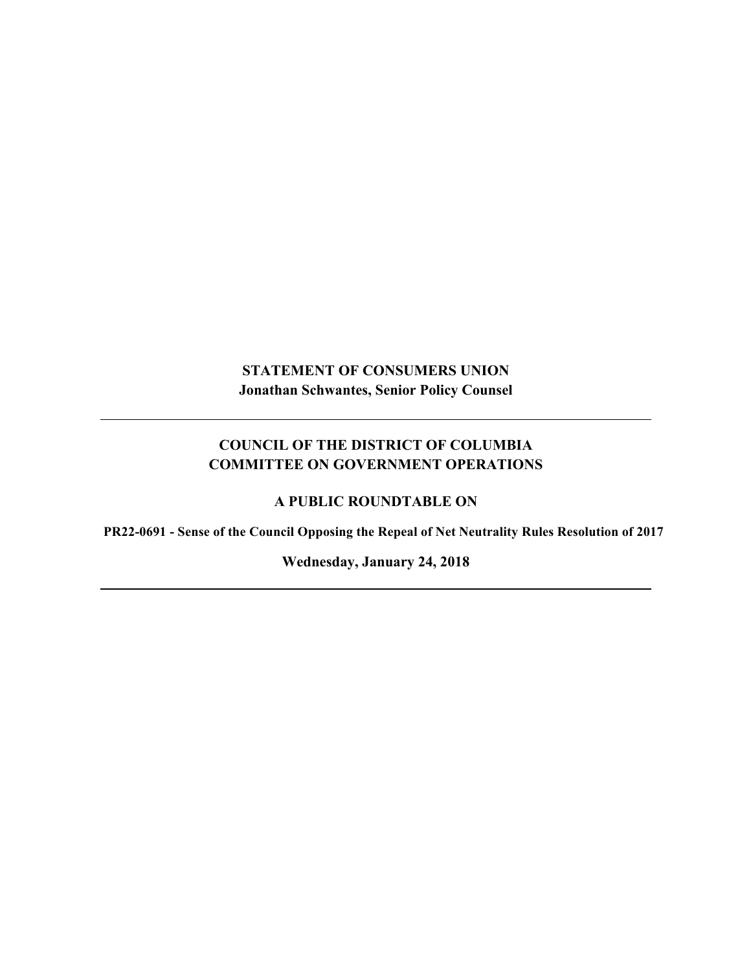# **STATEMENT OF CONSUMERS UNION Jonathan Schwantes, Senior Policy Counsel**

# **COUNCIL OF THE DISTRICT OF COLUMBIA COMMITTEE ON GOVERNMENT OPERATIONS**

### **A PUBLIC ROUNDTABLE ON**

**PR22-0691 - Sense of the Council Opposing the Repeal of Net Neutrality Rules Resolution of 2017**

**Wednesday, January 24, 2018**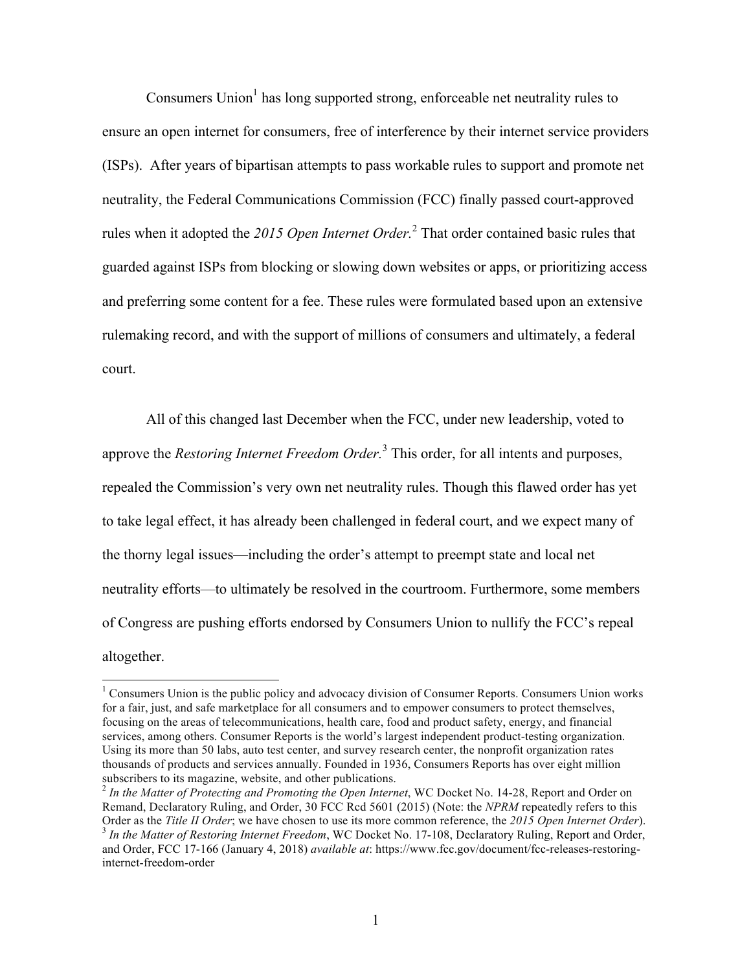Consumers Union<sup>1</sup> has long supported strong, enforceable net neutrality rules to ensure an open internet for consumers, free of interference by their internet service providers (ISPs). After years of bipartisan attempts to pass workable rules to support and promote net neutrality, the Federal Communications Commission (FCC) finally passed court-approved rules when it adopted the *2015 Open Internet Order.* <sup>2</sup> That order contained basic rules that guarded against ISPs from blocking or slowing down websites or apps, or prioritizing access and preferring some content for a fee. These rules were formulated based upon an extensive rulemaking record, and with the support of millions of consumers and ultimately, a federal court.

All of this changed last December when the FCC, under new leadership, voted to approve the *Restoring Internet Freedom Order.* <sup>3</sup> This order, for all intents and purposes, repealed the Commission's very own net neutrality rules. Though this flawed order has yet to take legal effect, it has already been challenged in federal court, and we expect many of the thorny legal issues—including the order's attempt to preempt state and local net neutrality efforts—to ultimately be resolved in the courtroom. Furthermore, some members of Congress are pushing efforts endorsed by Consumers Union to nullify the FCC's repeal altogether.

<sup>&</sup>lt;sup>1</sup> Consumers Union is the public policy and advocacy division of Consumer Reports. Consumers Union works for a fair, just, and safe marketplace for all consumers and to empower consumers to protect themselves, focusing on the areas of telecommunications, health care, food and product safety, energy, and financial services, among others. Consumer Reports is the world's largest independent product-testing organization. Using its more than 50 labs, auto test center, and survey research center, the nonprofit organization rates thousands of products and services annually. Founded in 1936, Consumers Reports has over eight million subscribers to its magazine, website, and other publications.<br><sup>2</sup> *In the Matter of Protecting and Promoting the Open Internet*, WC Docket No. 14-28, Report and Order on

Remand, Declaratory Ruling, and Order, 30 FCC Rcd 5601 (2015) (Note: the *NPRM* repeatedly refers to this Order as the *Title II Order*; we have chosen to use its more common reference, the 2015 Open Internet Order).<br><sup>3</sup> In the Matter of Restoring Internet Freedom, WC Docket No. 17-108, Declaratory Ruling, Report and Order, and Order, FCC 17-166 (January 4, 2018) *available at*: https://www.fcc.gov/document/fcc-releases-restoringinternet-freedom-order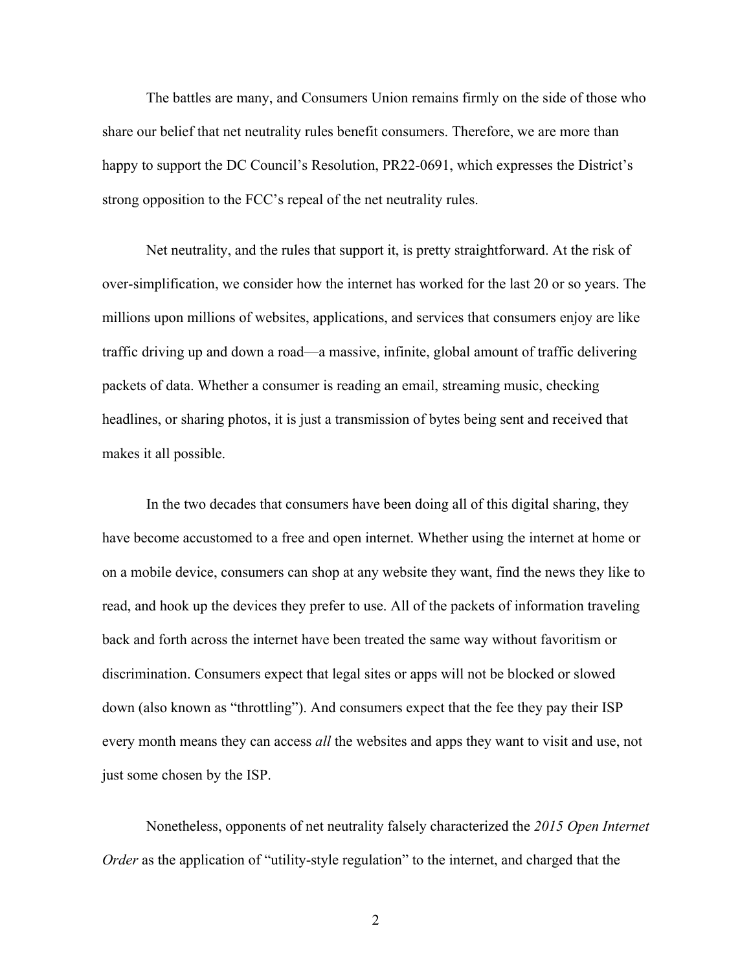The battles are many, and Consumers Union remains firmly on the side of those who share our belief that net neutrality rules benefit consumers. Therefore, we are more than happy to support the DC Council's Resolution, PR22-0691, which expresses the District's strong opposition to the FCC's repeal of the net neutrality rules.

Net neutrality, and the rules that support it, is pretty straightforward. At the risk of over-simplification, we consider how the internet has worked for the last 20 or so years. The millions upon millions of websites, applications, and services that consumers enjoy are like traffic driving up and down a road—a massive, infinite, global amount of traffic delivering packets of data. Whether a consumer is reading an email, streaming music, checking headlines, or sharing photos, it is just a transmission of bytes being sent and received that makes it all possible.

In the two decades that consumers have been doing all of this digital sharing, they have become accustomed to a free and open internet. Whether using the internet at home or on a mobile device, consumers can shop at any website they want, find the news they like to read, and hook up the devices they prefer to use. All of the packets of information traveling back and forth across the internet have been treated the same way without favoritism or discrimination. Consumers expect that legal sites or apps will not be blocked or slowed down (also known as "throttling"). And consumers expect that the fee they pay their ISP every month means they can access *all* the websites and apps they want to visit and use, not just some chosen by the ISP.

Nonetheless, opponents of net neutrality falsely characterized the *2015 Open Internet Order* as the application of "utility-style regulation" to the internet, and charged that the

2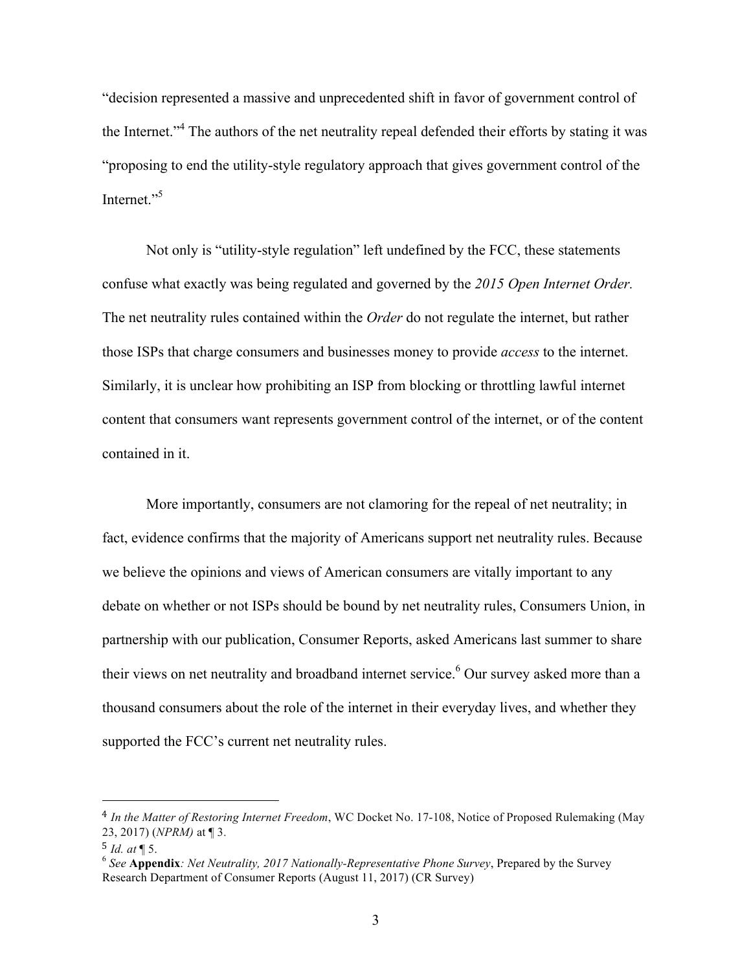"decision represented a massive and unprecedented shift in favor of government control of the Internet."<sup>4</sup> The authors of the net neutrality repeal defended their efforts by stating it was "proposing to end the utility-style regulatory approach that gives government control of the Internet<sup>"5</sup>

Not only is "utility-style regulation" left undefined by the FCC, these statements confuse what exactly was being regulated and governed by the *2015 Open Internet Order.*  The net neutrality rules contained within the *Order* do not regulate the internet, but rather those ISPs that charge consumers and businesses money to provide *access* to the internet. Similarly, it is unclear how prohibiting an ISP from blocking or throttling lawful internet content that consumers want represents government control of the internet, or of the content contained in it.

More importantly, consumers are not clamoring for the repeal of net neutrality; in fact, evidence confirms that the majority of Americans support net neutrality rules. Because we believe the opinions and views of American consumers are vitally important to any debate on whether or not ISPs should be bound by net neutrality rules, Consumers Union, in partnership with our publication, Consumer Reports, asked Americans last summer to share their views on net neutrality and broadband internet service.<sup>6</sup> Our survey asked more than a thousand consumers about the role of the internet in their everyday lives, and whether they supported the FCC's current net neutrality rules.

 

<sup>4</sup> *In the Matter of Restoring Internet Freedom*, WC Docket No. 17-108, Notice of Proposed Rulemaking (May 23, 2017) (*NPRM)* at ¶ 3.

 $5$  *Id.* at  $\P$  5.

<sup>6</sup> *See* **Appendix***: Net Neutrality, 2017 Nationally-Representative Phone Survey*, Prepared by the Survey Research Department of Consumer Reports (August 11, 2017) (CR Survey)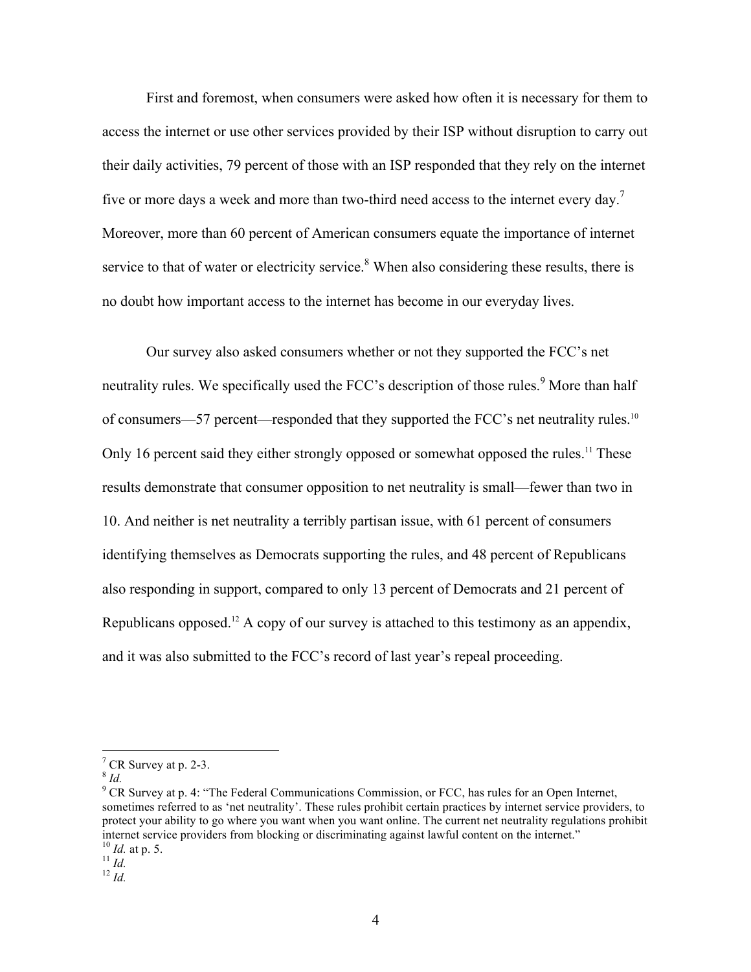First and foremost, when consumers were asked how often it is necessary for them to access the internet or use other services provided by their ISP without disruption to carry out their daily activities, 79 percent of those with an ISP responded that they rely on the internet five or more days a week and more than two-third need access to the internet every day.<sup>7</sup> Moreover, more than 60 percent of American consumers equate the importance of internet service to that of water or electricity service.<sup>8</sup> When also considering these results, there is no doubt how important access to the internet has become in our everyday lives.

Our survey also asked consumers whether or not they supported the FCC's net neutrality rules. We specifically used the FCC's description of those rules.<sup>9</sup> More than half of consumers—57 percent—responded that they supported the FCC's net neutrality rules.<sup>10</sup> Only 16 percent said they either strongly opposed or somewhat opposed the rules.<sup>11</sup> These results demonstrate that consumer opposition to net neutrality is small—fewer than two in 10. And neither is net neutrality a terribly partisan issue, with 61 percent of consumers identifying themselves as Democrats supporting the rules, and 48 percent of Republicans also responding in support, compared to only 13 percent of Democrats and 21 percent of Republicans opposed.<sup>12</sup> A copy of our survey is attached to this testimony as an appendix, and it was also submitted to the FCC's record of last year's repeal proceeding.

 $^7$  CR Survey at p. 2-3.  $^8$  *Id.* 

 $9^9$  CR Survey at p. 4: "The Federal Communications Commission, or FCC, has rules for an Open Internet, sometimes referred to as 'net neutrality'. These rules prohibit certain practices by internet service providers, to protect your ability to go where you want when you want online. The current net neutrality regulations prohibit internet service providers from blocking or discriminating against lawful content on the internet."<br><sup>10</sup> *Id.* at p. 5. <sup>11</sup> *Id.* <sup>12</sup> *Id.* <sup>12</sup> *Id.*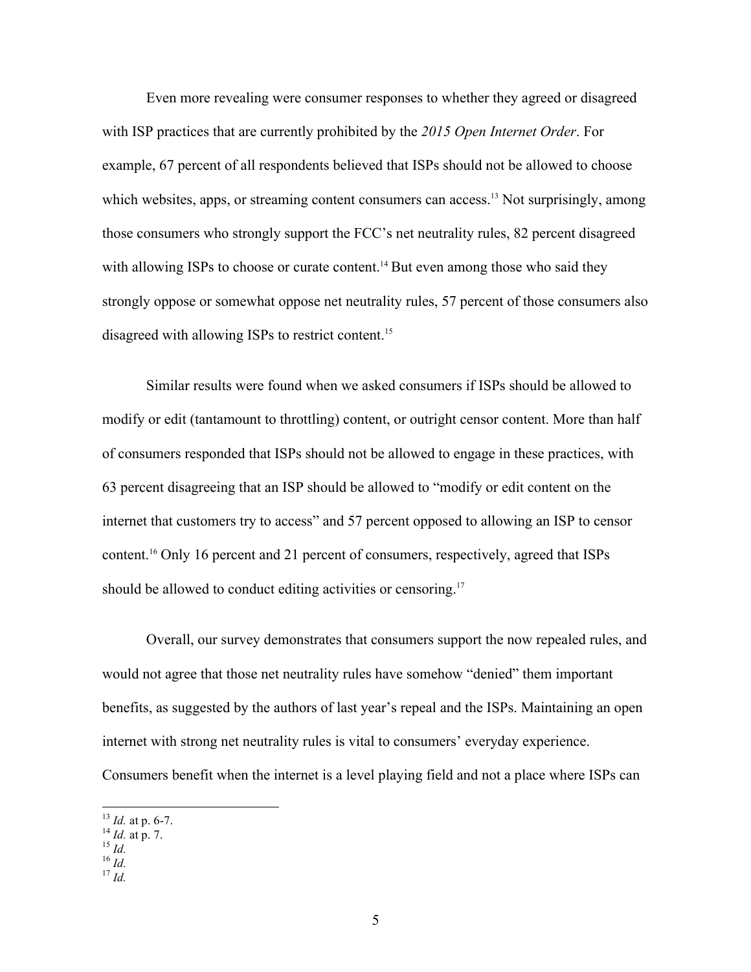Even more revealing were consumer responses to whether they agreed or disagreed with ISP practices that are currently prohibited by the *2015 Open Internet Order*. For example, 67 percent of all respondents believed that ISPs should not be allowed to choose which websites, apps, or streaming content consumers can access.<sup>13</sup> Not surprisingly, among those consumers who strongly support the FCC's net neutrality rules, 82 percent disagreed with allowing ISPs to choose or curate content.<sup>14</sup> But even among those who said they strongly oppose or somewhat oppose net neutrality rules, 57 percent of those consumers also disagreed with allowing ISPs to restrict content.<sup>15</sup>

Similar results were found when we asked consumers if ISPs should be allowed to modify or edit (tantamount to throttling) content, or outright censor content. More than half of consumers responded that ISPs should not be allowed to engage in these practices, with 63 percent disagreeing that an ISP should be allowed to "modify or edit content on the internet that customers try to access" and 57 percent opposed to allowing an ISP to censor content.16 Only 16 percent and 21 percent of consumers, respectively, agreed that ISPs should be allowed to conduct editing activities or censoring.<sup>17</sup>

Overall, our survey demonstrates that consumers support the now repealed rules, and would not agree that those net neutrality rules have somehow "denied" them important benefits, as suggested by the authors of last year's repeal and the ISPs. Maintaining an open internet with strong net neutrality rules is vital to consumers' everyday experience. Consumers benefit when the internet is a level playing field and not a place where ISPs can

 <sup>13</sup> *Id.* at p. 6-7. 14 *Id.* at p. 7. 15 *Id.* <sup>16</sup> *Id.* <sup>17</sup> *Id.*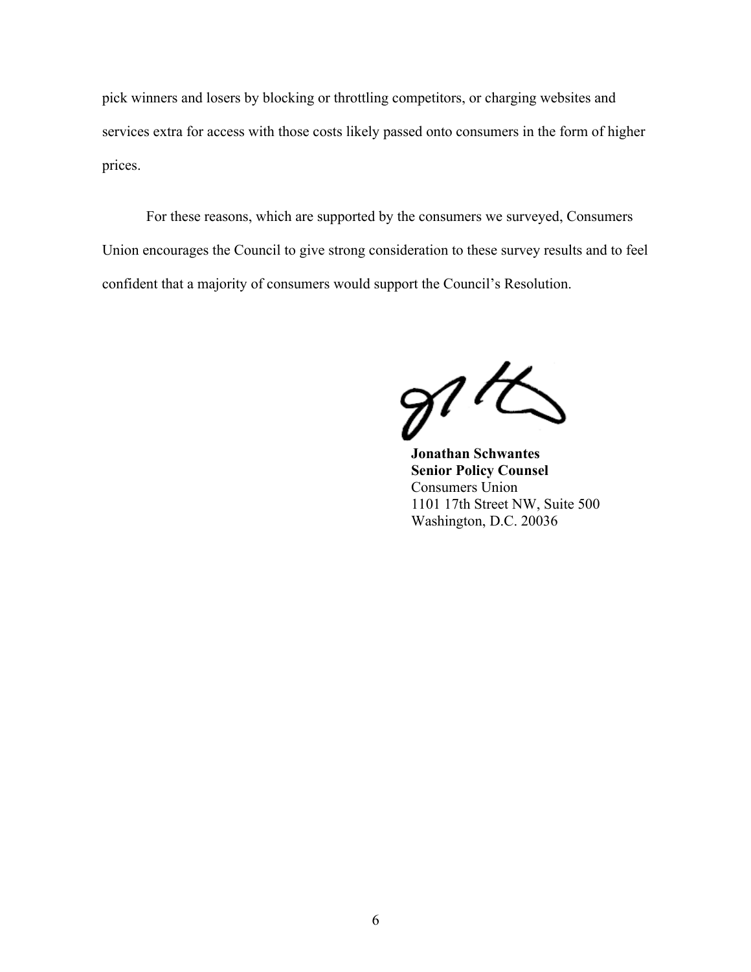pick winners and losers by blocking or throttling competitors, or charging websites and services extra for access with those costs likely passed onto consumers in the form of higher prices.

For these reasons, which are supported by the consumers we surveyed, Consumers Union encourages the Council to give strong consideration to these survey results and to feel confident that a majority of consumers would support the Council's Resolution.

 $\mathscr{U}^{\prime}$ 

**Jonathan Schwantes Senior Policy Counsel**  Consumers Union 1101 17th Street NW, Suite 500 Washington, D.C. 20036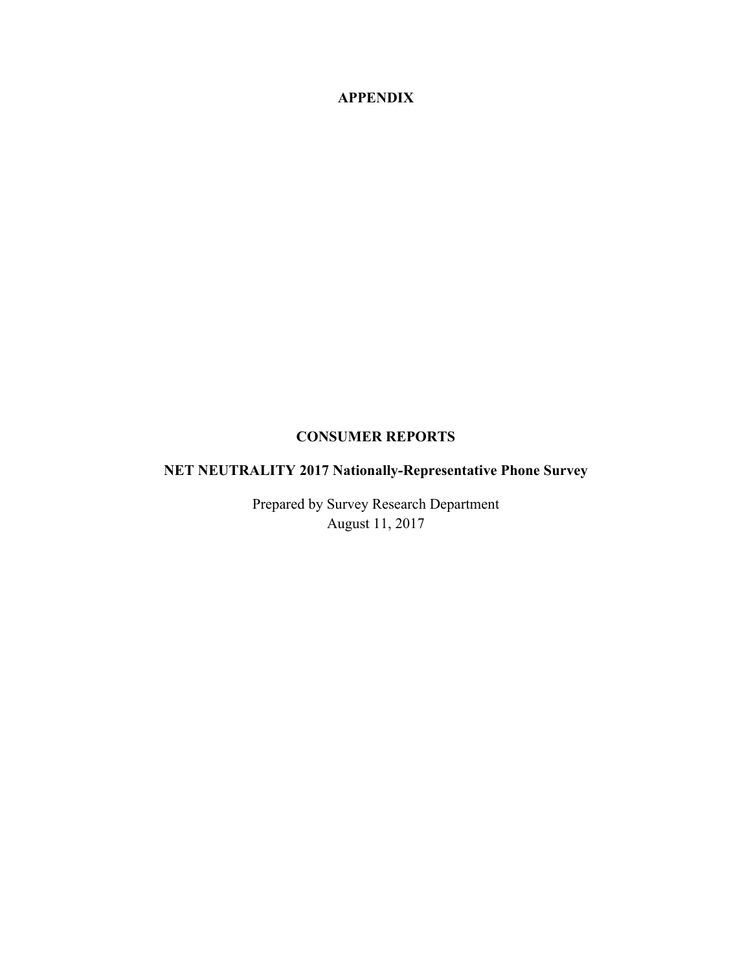**APPENDIX**

## **CONSUMER REPORTS**

# **NET NEUTRALITY 2017 Nationally-Representative Phone Survey**

Prepared by Survey Research Department August 11, 2017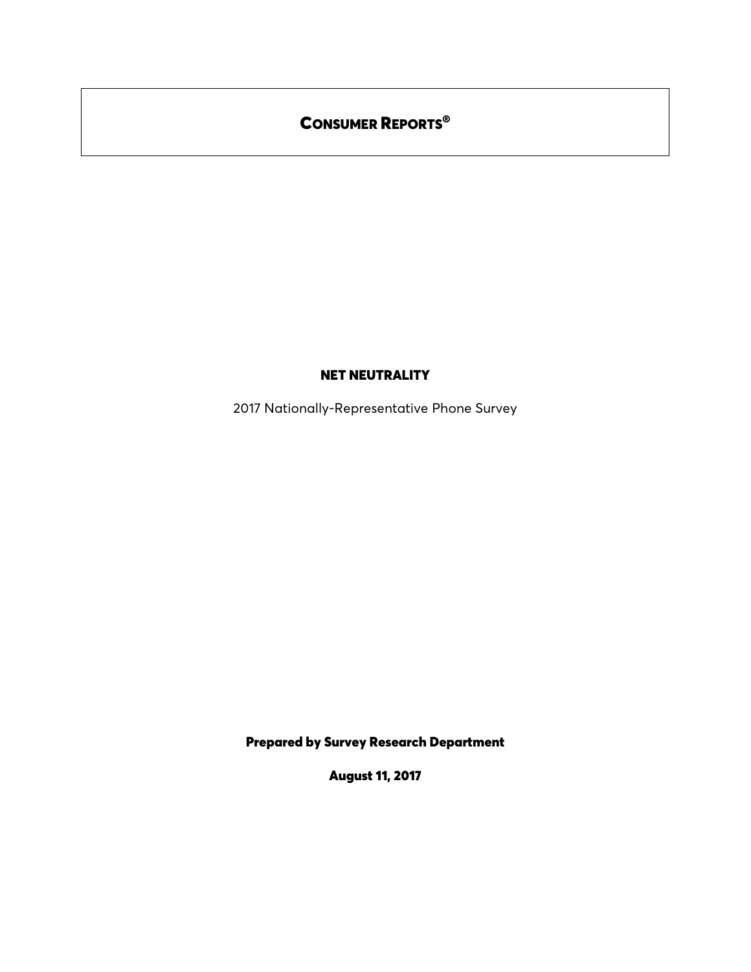# CONSUMER REPORTS®

### NET NEUTRALITY

2017 Nationally-Representative Phone Survey

Prepared by Survey Research Department

August 11, 2017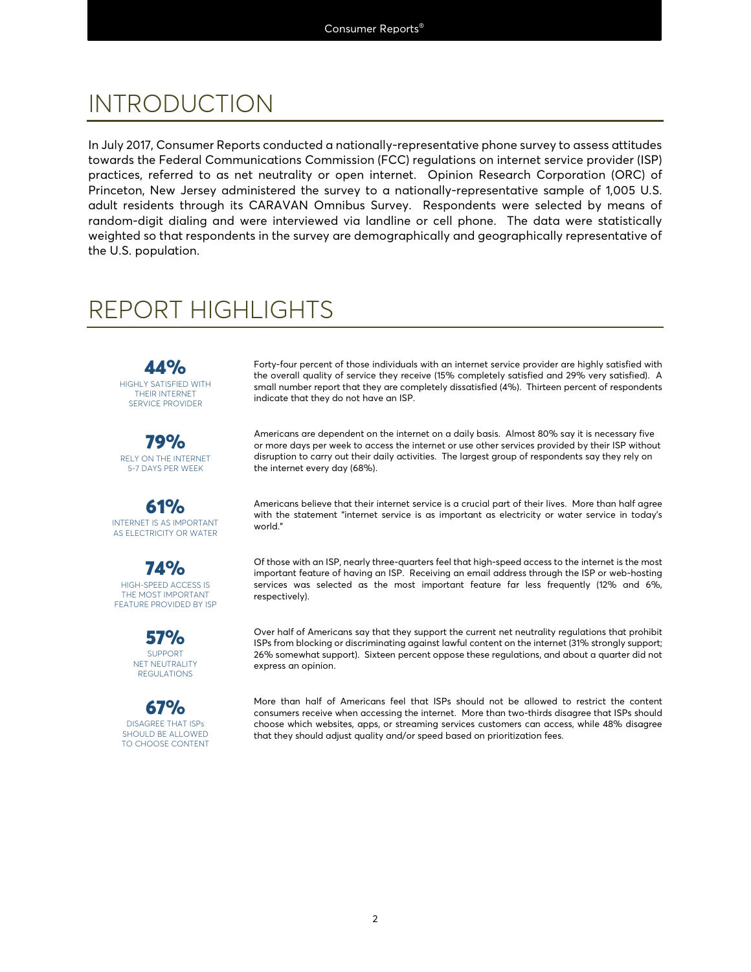# INTRODUCTION

In July 2017, Consumer Reports conducted a nationally-representative phone survey to assess attitudes towards the Federal Communications Commission (FCC) regulations on internet service provider (ISP) practices, referred to as net neutrality or open internet. Opinion Research Corporation (ORC) of Princeton, New Jersey administered the survey to a nationally-representative sample of 1,005 U.S. adult residents through its CARAVAN Omnibus Survey. Respondents were selected by means of random-digit dialing and were interviewed via landline or cell phone. The data were statistically weighted so that respondents in the survey are demographically and geographically representative of the U.S. population.

# REPORT HIGHLIGHTS

44% HIGHLY SATISFIED WITH THEIR INTERNET SERVICE PROVIDER

79% RELY ON THE INTERNET 5-7 DAYS PER WEEK

61% INTERNET IS AS IMPORTANT AS ELECTRICITY OR WATER

74% HIGH-SPEED ACCESS IS THE MOST IMPORTANT FEATURE PROVIDED BY ISP

> 57% SUPPORT NET NEUTRALITY REGULATIONS

67% DISAGREE THAT ISPs SHOULD BE ALLOWED TO CHOOSE CONTENT Forty-four percent of those individuals with an internet service provider are highly satisfied with the overall quality of service they receive (15% completely satisfied and 29% very satisfied). A small number report that they are completely dissatisfied (4%). Thirteen percent of respondents indicate that they do not have an ISP.

Americans are dependent on the internet on a daily basis. Almost 80% say it is necessary five or more days per week to access the internet or use other services provided by their ISP without disruption to carry out their daily activities. The largest group of respondents say they rely on the internet every day (68%).

Americans believe that their internet service is a crucial part of their lives. More than half agree with the statement "internet service is as important as electricity or water service in today's world."

Of those with an ISP, nearly three-quarters feel that high-speed access to the internet is the most important feature of having an ISP. Receiving an email address through the ISP or web-hosting services was selected as the most important feature far less frequently (12% and 6%, respectively).

Over half of Americans say that they support the current net neutrality regulations that prohibit ISPs from blocking or discriminating against lawful content on the internet (31% strongly support; 26% somewhat support). Sixteen percent oppose these regulations, and about a quarter did not express an opinion.

More than half of Americans feel that ISPs should not be allowed to restrict the content consumers receive when accessing the internet. More than two-thirds disagree that ISPs should choose which websites, apps, or streaming services customers can access, while 48% disagree that they should adjust quality and/or speed based on prioritization fees.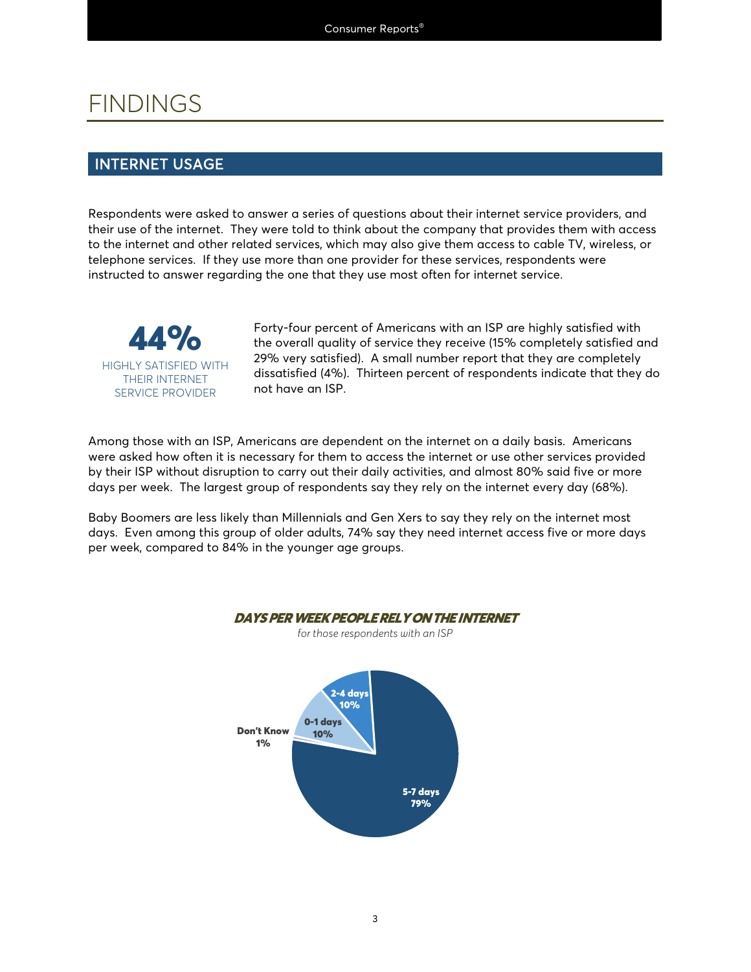# FINDINGS

## INTERNET USAGE

Respondents were asked to answer a series of questions about their internet service providers, and their use of the internet. They were told to think about the company that provides them with access to the internet and other related services, which may also give them access to cable TV, wireless, or telephone services. If they use more than one provider for these services, respondents were instructed to answer regarding the one that they use most often for internet service.



Forty-four percent of Americans with an ISP are highly satisfied with the overall quality of service they receive (15% completely satisfied and 29% very satisfied). A small number report that they are completely dissatisfied (4%). Thirteen percent of respondents indicate that they do not have an ISP.

Among those with an ISP, Americans are dependent on the internet on a daily basis. Americans were asked how often it is necessary for them to access the internet or use other services provided by their ISP without disruption to carry out their daily activities, and almost 80% said five or more days per week. The largest group of respondents say they rely on the internet every day (68%).

Baby Boomers are less likely than Millennials and Gen Xers to say they rely on the internet most days. Even among this group of older adults, 74% say they need internet access five or more days per week, compared to 84% in the younger age groups.

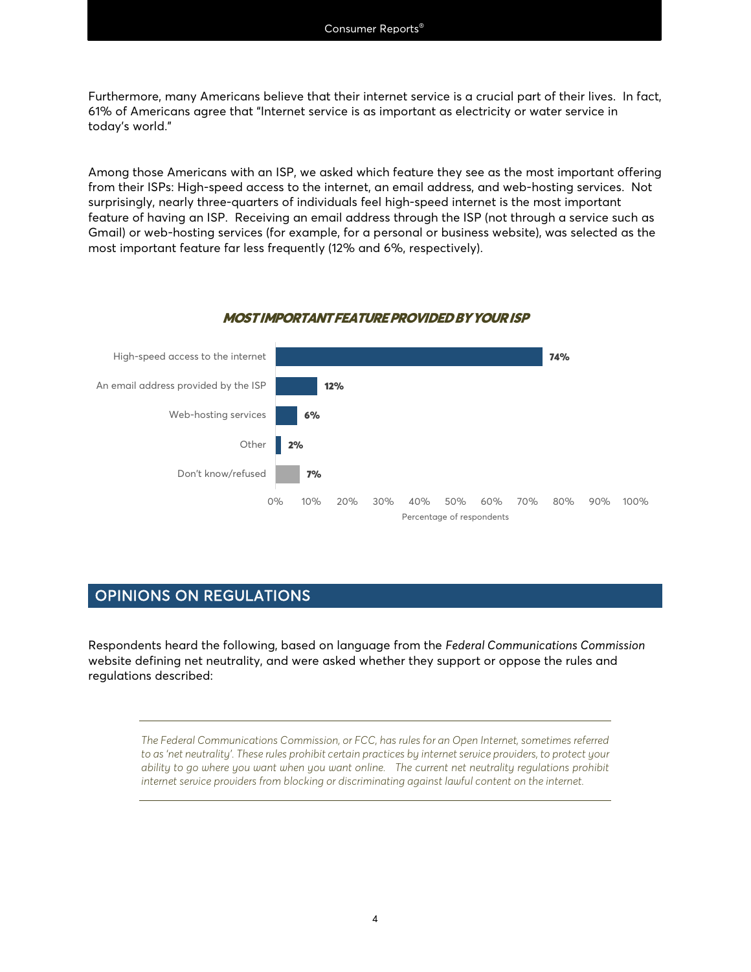#### Consumer Reports®

Furthermore, many Americans believe that their internet service is a crucial part of their lives. In fact, 61% of Americans agree that "Internet service is as important as electricity or water service in today's world."

Among those Americans with an ISP, we asked which feature they see as the most important offering from their ISPs: High-speed access to the internet, an email address, and web-hosting services. Not surprisingly, nearly three-quarters of individuals feel high-speed internet is the most important feature of having an ISP. Receiving an email address through the ISP (not through a service such as Gmail) or web-hosting services (for example, for a personal or business website), was selected as the most important feature far less frequently (12% and 6%, respectively).



#### MOST IMPORTANT FEATURE PROVIDED BY YOUR ISP

## OPINIONS ON REGULATIONS

Respondents heard the following, based on language from the *Federal Communications Commission* website defining net neutrality, and were asked whether they support or oppose the rules and regulations described:

*The Federal Communications Commission, or FCC, has rules for an Open Internet, sometimes referred to as 'net neutrality'. These rules prohibit certain practices by internet service providers, to protect your ability to go where you want when you want online. The current net neutrality regulations prohibit internet service providers from blocking or discriminating against lawful content on the internet.*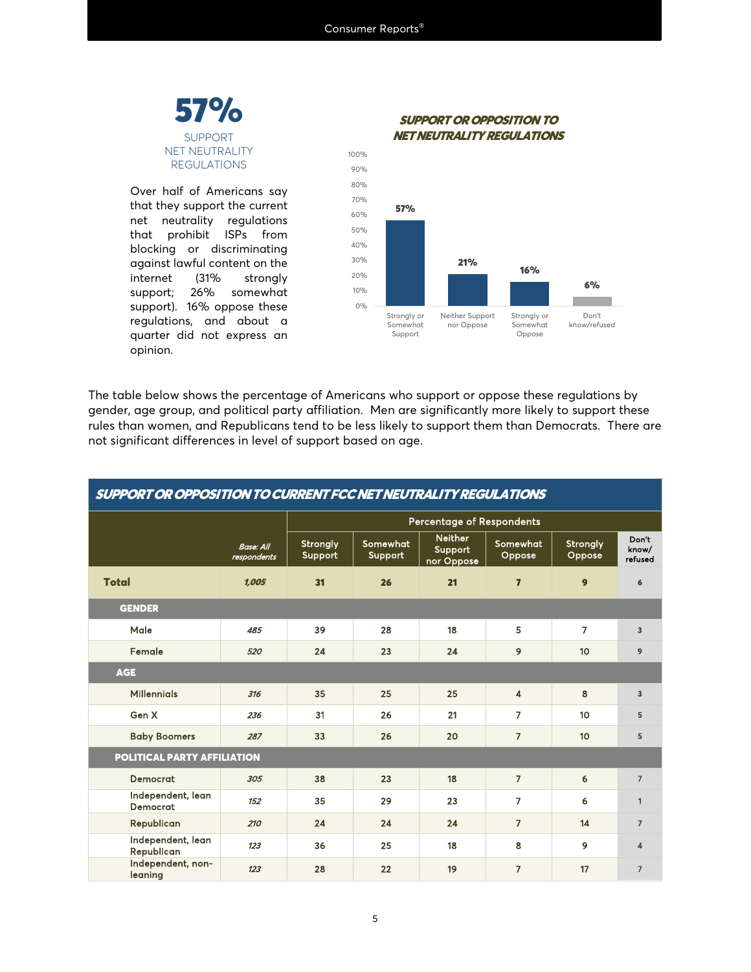

Over half of Americans say that they support the current net neutrality regulations that prohibit ISPs from blocking or discriminating against lawful content on the internet (31% strongly support; 26% somewhat support). 16% oppose these regulations, and about a quarter did not express an opinion.



The table below shows the percentage of Americans who support or oppose these regulations by gender, age group, and political party affiliation. Men are significantly more likely to support these rules than women, and Republicans tend to be less likely to support them than Democrats. There are not significant differences in level of support based on age.

ST AN ARRACITIALITA ALIBRELIT FAA LIFT LIFLITA LI ITV BEALL LTIALI

| SUPPURT UR UPPUSITIUN TU CURRENT FCC NET NEUTRALITT REGULATIUNS |       |                                  |                            |                                         |                         |                           |                           |  |  |  |  |
|-----------------------------------------------------------------|-------|----------------------------------|----------------------------|-----------------------------------------|-------------------------|---------------------------|---------------------------|--|--|--|--|
|                                                                 |       | <b>Percentage of Respondents</b> |                            |                                         |                         |                           |                           |  |  |  |  |
| Base: All<br>respondents                                        |       | <b>Strongly</b><br>Support       | <b>Somewhat</b><br>Support | <b>Neither</b><br>Support<br>nor Oppose | Somewhat<br>Oppose      | <b>Strongly</b><br>Oppose | Don't<br>know/<br>refused |  |  |  |  |
| <b>Total</b>                                                    | 1,005 | 21<br>31<br>26                   |                            | $\overline{7}$                          | 9                       |                           |                           |  |  |  |  |
| <b>GENDER</b>                                                   |       |                                  |                            |                                         |                         |                           |                           |  |  |  |  |
| Male                                                            | 485   | 39                               | 28                         | 18                                      | 5                       | $\overline{7}$            | $\overline{3}$            |  |  |  |  |
| Female                                                          | 520   | 24                               | 23                         | 24                                      | 9                       | 10 <sub>o</sub>           | $\mathbf{9}$              |  |  |  |  |
| <b>AGE</b>                                                      |       |                                  |                            |                                         |                         |                           |                           |  |  |  |  |
| <b>Millennials</b>                                              | 316   | 35                               | 25                         | 25                                      | $\overline{\mathbf{4}}$ | 8                         | 3                         |  |  |  |  |
| Gen X                                                           | 236   | 31                               | 26                         | 21                                      | 7                       | 10                        | 5                         |  |  |  |  |
| <b>Baby Boomers</b>                                             | 287   | 33                               | 26                         | 20                                      | $\overline{7}$          | 10                        | 5                         |  |  |  |  |
| <b>POLITICAL PARTY AFFILIATION</b>                              |       |                                  |                            |                                         |                         |                           |                           |  |  |  |  |
| Democrat                                                        | 305   | 38                               | 23                         | 18                                      | $\overline{7}$          | 6                         | $\overline{7}$            |  |  |  |  |
| Independent, lean<br><b>Democrat</b>                            | 152   | 35                               | 29                         | 23                                      | $\overline{7}$          | 6                         | $\mathbf{1}$              |  |  |  |  |
| Republican                                                      | 210   | 24                               | 24                         | 24                                      | $\overline{7}$          | 14                        | $\overline{7}$            |  |  |  |  |
| Independent, lean<br>Republican                                 | 123   | 36                               | 25                         | 18                                      | 8                       | 9                         | 4                         |  |  |  |  |
| Independent, non-<br>leaning                                    | 123   | 28                               | 22                         | 19                                      | $\overline{7}$          | 17                        | $\overline{7}$            |  |  |  |  |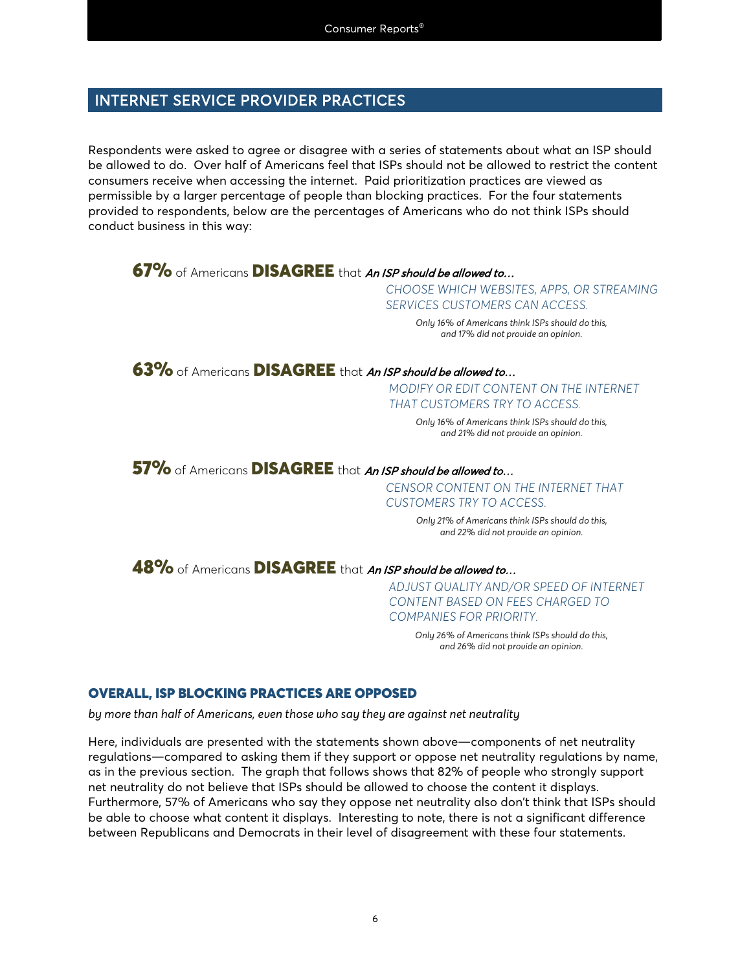# INTERNET SERVICE PROVIDER PRACTICES

Respondents were asked to agree or disagree with a series of statements about what an ISP should be allowed to do. Over half of Americans feel that ISPs should not be allowed to restrict the content consumers receive when accessing the internet. Paid prioritization practices are viewed as permissible by a larger percentage of people than blocking practices. For the four statements provided to respondents, below are the percentages of Americans who do not think ISPs should conduct business in this way:

### 67% of Americans DISAGREE that An ISP should be allowed to...

*CHOOSE WHICH WEBSITES, APPS, OR STREAMING SERVICES CUSTOMERS CAN ACCESS.*

> *Only 16% of Americans think ISPs should do this, and 17% did not provide an opinion.*

63% of Americans DISAGREE that An ISP should be allowed to...

*MODIFY OR EDIT CONTENT ON THE INTERNET THAT CUSTOMERS TRY TO ACCESS.*

> *Only 16% of Americans think ISPs should do this, and 21% did not provide an opinion.*

# 57% of Americans DISAGREE that An ISP should be allowed to...

*CENSOR CONTENT ON THE INTERNET THAT CUSTOMERS TRY TO ACCESS.*

> *Only 21% of Americans think ISPs should do this, and 22% did not provide an opinion.*

## A8% of Americans DISAGREE that An ISP should be allowed to...

*ADJUST QUALITY AND/OR SPEED OF INTERNET CONTENT BASED ON FEES CHARGED TO COMPANIES FOR PRIORITY.*

> *Only 26% of Americans think ISPs should do this, and 26% did not provide an opinion.*

#### OVERALL, ISP BLOCKING PRACTICES ARE OPPOSED

*by more than half of Americans, even those who say they are against net neutrality*

Here, individuals are presented with the statements shown above—components of net neutrality regulations—compared to asking them if they support or oppose net neutrality regulations by name, as in the previous section. The graph that follows shows that 82% of people who strongly support net neutrality do not believe that ISPs should be allowed to choose the content it displays. Furthermore, 57% of Americans who say they oppose net neutrality also don't think that ISPs should be able to choose what content it displays. Interesting to note, there is not a significant difference between Republicans and Democrats in their level of disagreement with these four statements.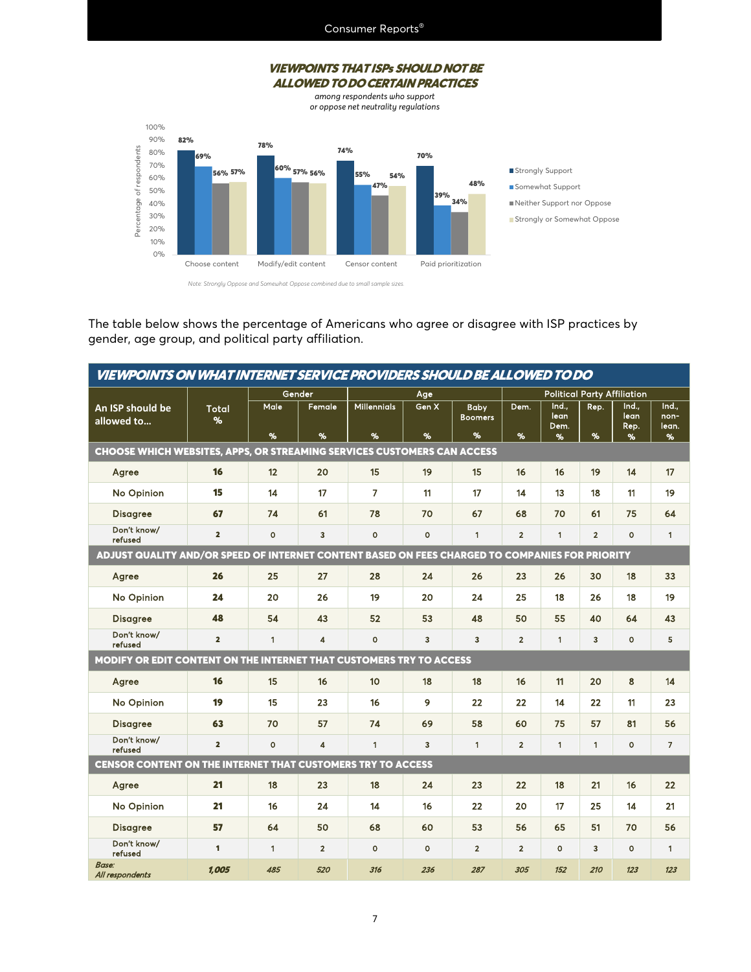Consumer Reports®

#### VIEWPOINTS THAT ISPs SHOULD NOT BE ALLOWED TO DO CERTAIN PRACTICES

*among respondents who support* 

*or oppose net neutrality regulations*



The table below shows the percentage of Americans who agree or disagree with ISP practices by gender, age group, and political party affiliation.

| VIEWPOINTS ON WHAT INTERNET SERVICE PROVIDERS SHOULD BE ALLOWED TO DO                           |                   |                  |                         |                         |               |                                    |                                    |                            |                |                            |                             |  |
|-------------------------------------------------------------------------------------------------|-------------------|------------------|-------------------------|-------------------------|---------------|------------------------------------|------------------------------------|----------------------------|----------------|----------------------------|-----------------------------|--|
| An ISP should be<br>allowed to                                                                  | <b>Total</b><br>% | Gender           |                         | Age                     |               |                                    | <b>Political Party Affiliation</b> |                            |                |                            |                             |  |
|                                                                                                 |                   | <b>Male</b><br>% | Female<br>%             | <b>Millennials</b><br>% | Gen X<br>$\%$ | <b>Baby</b><br><b>Boomers</b><br>% | Dem.<br>$\%$                       | Ind.,<br>lean<br>Dem.<br>% | Rep.<br>%      | Ind.,<br>lean<br>Rep.<br>% | Ind.,<br>non-<br>lean.<br>% |  |
| <b>CHOOSE WHICH WEBSITES, APPS, OR STREAMING SERVICES CUSTOMERS CAN ACCESS</b>                  |                   |                  |                         |                         |               |                                    |                                    |                            |                |                            |                             |  |
| Agree                                                                                           | 16                | 12               | 20                      | 15                      | 19            | 15                                 | 16                                 | 16                         | 19             | 14                         | 17                          |  |
| <b>No Opinion</b>                                                                               | 15                | 14               | 17                      | $\overline{7}$          | 11            | 17                                 | 14                                 | 13                         | 18             | 11                         | 19                          |  |
| <b>Disagree</b>                                                                                 | 67                | 74               | 61                      | 78                      | 70            | 67                                 | 68                                 | 70                         | 61             | 75                         | 64                          |  |
| Don't know/<br>refused                                                                          | $\overline{2}$    | $\circ$          | 3                       | $\mathbf{o}$            | $\circ$       | $\mathbf{1}$                       | $\overline{2}$                     | $\mathbf{1}$               | $\overline{2}$ | $\circ$                    | $\mathbf{1}$                |  |
| ADJUST QUALITY AND/OR SPEED OF INTERNET CONTENT BASED ON FEES CHARGED TO COMPANIES FOR PRIORITY |                   |                  |                         |                         |               |                                    |                                    |                            |                |                            |                             |  |
| Agree                                                                                           | 26                | 25               | 27                      | 28                      | 24            | 26                                 | 23                                 | 26                         | 30             | 18                         | 33                          |  |
| <b>No Opinion</b>                                                                               | 24                | 20               | 26                      | 19                      | 20            | 24                                 | 25                                 | 18                         | 26             | 18                         | 19                          |  |
| <b>Disagree</b>                                                                                 | 48                | 54               | 43                      | 52                      | 53            | 48                                 | 50                                 | 55                         | 40             | 64                         | 43                          |  |
| Don't know/<br>refused                                                                          | $\overline{2}$    | $\mathbf{1}$     | $\overline{\mathbf{4}}$ | $\circ$                 | 3             | 3                                  | $\overline{2}$                     | $\mathbf{1}$               | 3              | $\circ$                    | 5                           |  |
| MODIFY OR EDIT CONTENT ON THE INTERNET THAT CUSTOMERS TRY TO ACCESS                             |                   |                  |                         |                         |               |                                    |                                    |                            |                |                            |                             |  |
| Agree                                                                                           | 16                | 15               | 16                      | 10                      | 18            | 18                                 | 16                                 | 11                         | 20             | 8                          | 14                          |  |
| No Opinion                                                                                      | 19                | 15               | 23                      | 16                      | 9             | 22                                 | 22                                 | 14                         | 22             | 11                         | 23                          |  |
| <b>Disagree</b>                                                                                 | 63                | 70               | 57                      | 74                      | 69            | 58                                 | 60                                 | 75                         | 57             | 81                         | 56                          |  |
| Don't know/<br>refused                                                                          | $\overline{2}$    | $\circ$          | $\overline{\mathbf{4}}$ | $\mathbf{1}$            | 3             | $\mathbf{1}$                       | $\overline{2}$                     | $\mathbf{1}$               | $\mathbf{1}$   | $\circ$                    | $\overline{7}$              |  |
| CENSOR CONTENT ON THE INTERNET THAT CUSTOMERS TRY TO ACCESS                                     |                   |                  |                         |                         |               |                                    |                                    |                            |                |                            |                             |  |
| Agree                                                                                           | 21                | 18               | 23                      | 18                      | 24            | 23                                 | 22                                 | 18                         | 21             | 16                         | 22                          |  |
| <b>No Opinion</b>                                                                               | 21                | 16               | 24                      | 14                      | 16            | $22 \overline{)}$                  | 20                                 | 17                         | 25             | 14                         | 21                          |  |
| <b>Disagree</b>                                                                                 | 57                | 64               | 50                      | 68                      | 60            | 53                                 | 56                                 | 65                         | 51             | 70                         | 56                          |  |
| Don't know/<br>refused                                                                          | $\mathbf{1}$      | $\mathbf{1}$     | $\overline{2}$          | $\Omega$                | $\Omega$      | $\overline{2}$                     | $\overline{2}$                     | $\mathbf{o}$               | 3              | $\circ$                    | $\mathbf{1}$                |  |
| Base:<br>All respondents                                                                        | 1.005             | 485              | 520                     | 316                     | 236           | 287                                | 305                                | 152                        | 210            | 123                        | 123                         |  |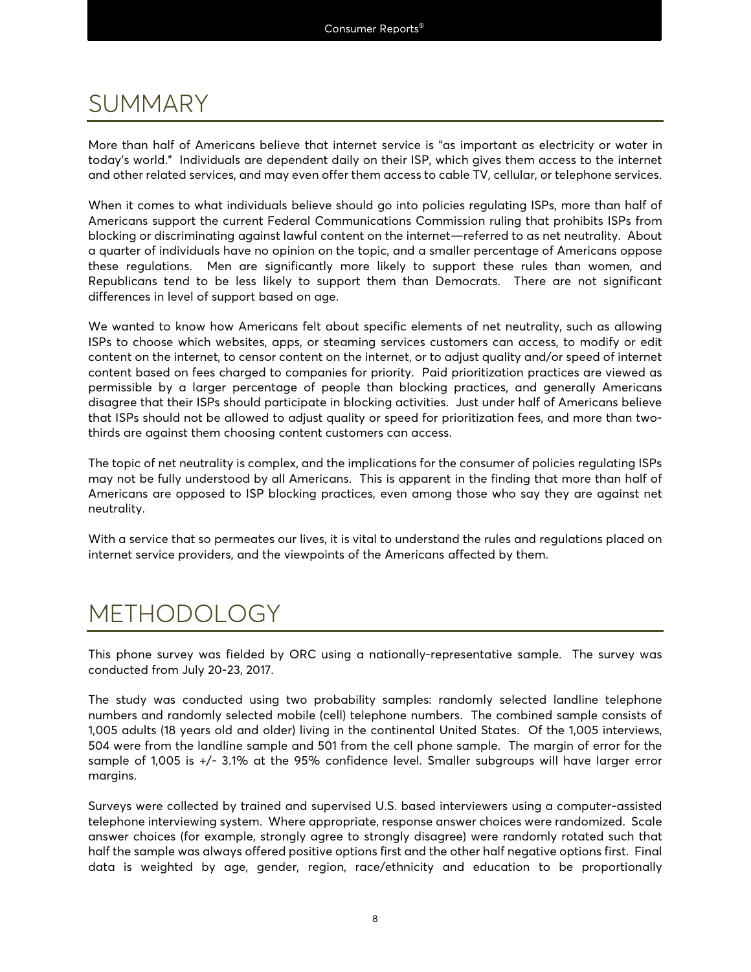# SUMMARY

More than half of Americans believe that internet service is "as important as electricity or water in today's world." Individuals are dependent daily on their ISP, which gives them access to the internet and other related services, and may even offer them access to cable TV, cellular, or telephone services.

When it comes to what individuals believe should go into policies regulating ISPs, more than half of Americans support the current Federal Communications Commission ruling that prohibits ISPs from blocking or discriminating against lawful content on the internet—referred to as net neutrality. About a quarter of individuals have no opinion on the topic, and a smaller percentage of Americans oppose these regulations. Men are significantly more likely to support these rules than women, and Republicans tend to be less likely to support them than Democrats. There are not significant differences in level of support based on age.

We wanted to know how Americans felt about specific elements of net neutrality, such as allowing ISPs to choose which websites, apps, or steaming services customers can access, to modify or edit content on the internet, to censor content on the internet, or to adjust quality and/or speed of internet content based on fees charged to companies for priority. Paid prioritization practices are viewed as permissible by a larger percentage of people than blocking practices, and generally Americans disagree that their ISPs should participate in blocking activities. Just under half of Americans believe that ISPs should not be allowed to adjust quality or speed for prioritization fees, and more than twothirds are against them choosing content customers can access.

The topic of net neutrality is complex, and the implications for the consumer of policies regulating ISPs may not be fully understood by all Americans. This is apparent in the finding that more than half of Americans are opposed to ISP blocking practices, even among those who say they are against net neutrality.

With a service that so permeates our lives, it is vital to understand the rules and regulations placed on internet service providers, and the viewpoints of the Americans affected by them.

# METHODOLOGY

This phone survey was fielded by ORC using a nationally-representative sample. The survey was conducted from July 20-23, 2017.

The study was conducted using two probability samples: randomly selected landline telephone numbers and randomly selected mobile (cell) telephone numbers. The combined sample consists of 1,005 adults (18 years old and older) living in the continental United States. Of the 1,005 interviews, 504 were from the landline sample and 501 from the cell phone sample. The margin of error for the sample of 1,005 is +/- 3.1% at the 95% confidence level. Smaller subgroups will have larger error margins.

Surveys were collected by trained and supervised U.S. based interviewers using a computer-assisted telephone interviewing system. Where appropriate, response answer choices were randomized. Scale answer choices (for example, strongly agree to strongly disagree) were randomly rotated such that half the sample was always offered positive options first and the other half negative options first. Final data is weighted by age, gender, region, race/ethnicity and education to be proportionally